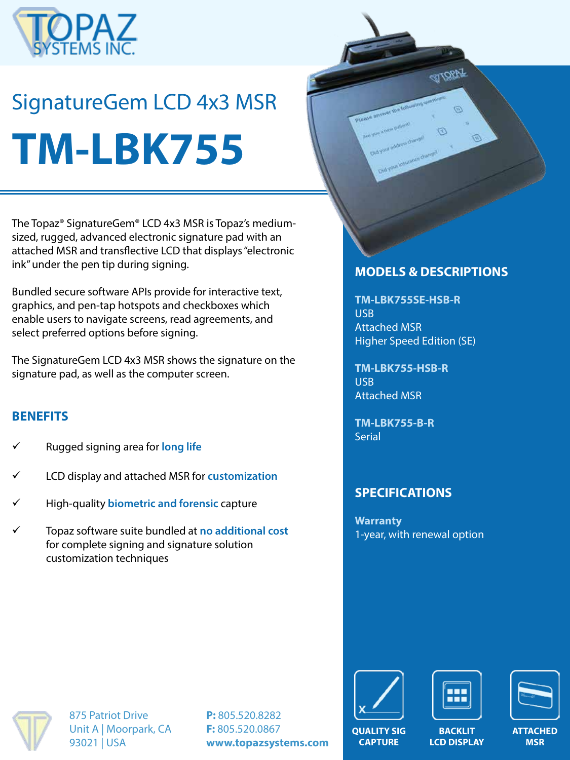

# SignatureGem LCD 4x3 MSR **TM-LBK755**



The Topaz® SignatureGem® LCD 4x3 MSR is Topaz's mediumsized, rugged, advanced electronic signature pad with an attached MSR and transflective LCD that displays "electronic ink" under the pen tip during signing.

Bundled secure software APIs provide for interactive text, graphics, and pen-tap hotspots and checkboxes which enable users to navigate screens, read agreements, and select preferred options before signing.

The SignatureGem LCD 4x3 MSR shows the signature on the signature pad, as well as the computer screen.

#### **BENEFITS**

- ü Rugged signing area for **long life**
- ü LCD display and attached MSR for **customization**
- ü High-quality **biometric and forensic** capture
- ü Topaz software suite bundled at **no additional cost**  for complete signing and signature solution customization techniques

#### **MODELS & DESCRIPTIONS**

**TM-LBK755SE-HSB-R** USB Attached MSR Higher Speed Edition (SE)

**TM-LBK755-HSB-R** USB Attached MSR

**TM-LBK755-B-R Serial** 

# **SPECIFICATIONS**

**Warranty** 1-year, with renewal option



875 Patriot Drive Unit A | Moorpark, CA 93021 | USA

**P:** 805.520.8282 **F:** 805.520.0867 **www.topazsystems.com**



**CAPTURE**





**BACKLIT LCD DISPLAY** **ATTACHED MSR**